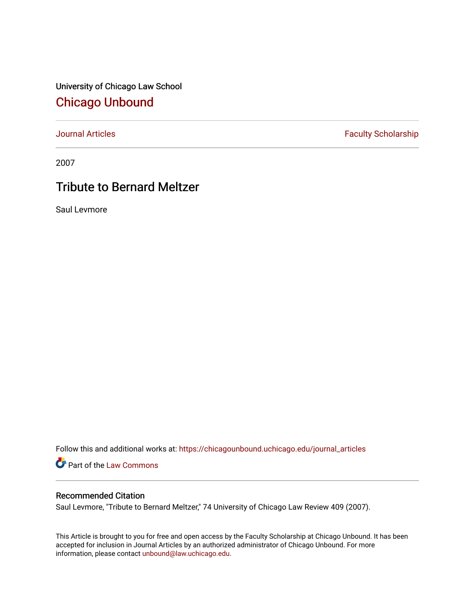University of Chicago Law School [Chicago Unbound](https://chicagounbound.uchicago.edu/)

[Journal Articles](https://chicagounbound.uchicago.edu/journal_articles) **Faculty Scholarship Faculty Scholarship** 

2007

## Tribute to Bernard Meltzer

Saul Levmore

Follow this and additional works at: [https://chicagounbound.uchicago.edu/journal\\_articles](https://chicagounbound.uchicago.edu/journal_articles?utm_source=chicagounbound.uchicago.edu%2Fjournal_articles%2F3630&utm_medium=PDF&utm_campaign=PDFCoverPages) 

Part of the [Law Commons](http://network.bepress.com/hgg/discipline/578?utm_source=chicagounbound.uchicago.edu%2Fjournal_articles%2F3630&utm_medium=PDF&utm_campaign=PDFCoverPages)

### Recommended Citation

Saul Levmore, "Tribute to Bernard Meltzer," 74 University of Chicago Law Review 409 (2007).

This Article is brought to you for free and open access by the Faculty Scholarship at Chicago Unbound. It has been accepted for inclusion in Journal Articles by an authorized administrator of Chicago Unbound. For more information, please contact [unbound@law.uchicago.edu](mailto:unbound@law.uchicago.edu).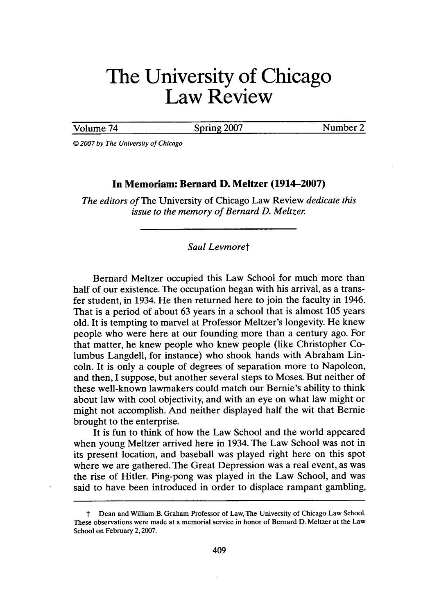# **The University of Chicago Law Review**

Volume 74 Spring 2007 Number 2

*© 2007 by The University of Chicago*

### **In Memoriam: Bernard D. Meltzer (1914-2007)**

*The editors of* The University of Chicago Law Review *dedicate this issue to the memory of Bernard D. Meltzer.*

#### *Saul Levmoret*

Bernard Meltzer occupied this Law School for much more than half of our existence. The occupation began with his arrival, as a transfer student, in 1934. He then returned here to join the faculty in 1946. That is a period of about 63 years in a school that is almost 105 years old. It is tempting to marvel at Professor Meltzer's longevity. He knew people who were here at our founding more than a century ago. For that matter, he knew people who knew people (like Christopher Columbus Langdell, for instance) who shook hands with Abraham Lincoln. It is only a couple of degrees of separation more to Napoleon, and then, I suppose, but another several steps to Moses. But neither of these well-known lawmakers could match our Bernie's ability to think about law with cool objectivity, and with an eye on what law might or might not accomplish. And neither displayed half the wit that Bernie brought to the enterprise.

It is fun to think of how the Law School and the world appeared when young Meltzer arrived here in 1934. The Law School was not in its present location, and baseball was played right here on this spot where we are gathered. The Great Depression was a real event, as was the rise of Hitler. Ping-pong was played in the Law School, and was said to have been introduced in order to displace rampant gambling,

Dean and William B. Graham Professor of Law, The University of Chicago Law School. These observations were made at a memorial service in honor of Bernard D. Meltzer at the Law School on February 2,2007.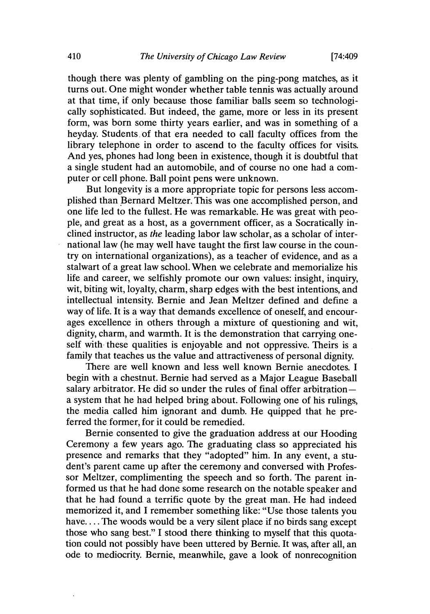[74:409

though there was plenty of gambling on the ping-pong matches, as it turns out. One might wonder whether table tennis was actually around at that time, if only because those familiar balls seem so technologically sophisticated. But indeed, the game, more or less in its present form, was born some thirty years earlier, and was in something of a heyday. Students of that era needed to call faculty offices from the library telephone in order to ascend to the faculty offices for visits. And yes, phones had long been in existence, though it is doubtful that a single student had an automobile, and of course no one had a computer or cell phone. Ball point pens were unknown.

But longevity is a more appropriate topic for persons less accomplished than Bernard Meltzer. This was one accomplished person, and one life led to the fullest. He was remarkable. He was great with people, and great as a host, as a government officer, as a Socratically inclined instructor, as *the* leading labor law scholar, as a scholar of international law (he may well have taught the first law course in the country on international organizations), as a teacher of evidence, and as a stalwart of a great law school. When we celebrate and memorialize his life and career, we selfishly promote our own values: insight, inquiry, wit, biting wit, loyalty, charm, sharp edges with the best intentions, and intellectual intensity. Bernie and Jean Meltzer defined and define a way of life. It is a way that demands excellence of oneself, and encourages excellence in others through a mixture of questioning and wit, dignity, charm, and warmth. It is the demonstration that carrying oneself with these qualities is enjoyable and not oppressive. Theirs is a family that teaches us the value and attractiveness of personal dignity.

There are well known and less well known Bernie anecdotes. I begin with a chestnut. Bernie had served as a Major League Baseball salary arbitrator. He did so under the rules of final offer arbitration  a system that he had helped bring about. Following one of his rulings, the media called him ignorant and dumb. He quipped that he preferred the former, for it could be remedied.

Bernie consented to give the graduation address at our Hooding Ceremony a few years ago. The graduating class so appreciated his presence and remarks that they "adopted" him. In any event, a student's parent came up after the ceremony and conversed with Professor Meltzer, complimenting the speech and so forth. The parent informed us that he had done some research on the notable speaker and that he had found a terrific quote by the great man. He had indeed memorized it, and I remember something like: "Use those talents you have.... The woods would be a very silent place if no birds sang except those who sang best." I stood there thinking to myself that this quotation could not possibly have been uttered by Bernie. It was, after all, an ode to mediocrity. Bernie, meanwhile, gave a look of nonrecognition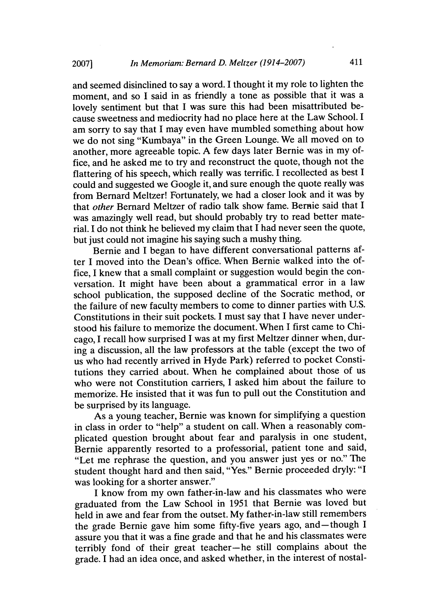and seemed disinclined to say a word. I thought it my role to lighten the moment, and so I said in as friendly a tone as possible that it was a lovely sentiment but that I was sure this had been misattributed because sweetness and mediocrity had no place here at the Law School. I am sorry to say that I may even have mumbled something about how we do not sing "Kumbaya" in the Green Lounge. We all moved on to another, more agreeable topic. A few days later Bernie was in my office, and he asked me to try and reconstruct the quote, though not the flattering of his speech, which really was terrific. I recollected as best I could and suggested we Google it, and sure enough the quote really was from Bernard Meltzer! Fortunately, we had a closer look and it was by that *other* Bernard Meltzer of radio talk show fame. Bernie said that I was amazingly well read, but should probably try to read better material. I do not think he believed my claim that I had never seen the quote, but just could not imagine his saying such a mushy thing.

Bernie and I began to have different conversational patterns after I moved into the Dean's office. When Bernie walked into the office, I knew that a small complaint or suggestion would begin the conversation. It might have been about a grammatical error in a law school publication, the supposed decline of the Socratic method, or the failure of new faculty members to come to dinner parties with U.S. Constitutions in their suit pockets. I must say that I have never understood his failure to memorize the document. When I first came to Chicago, I recall how surprised I was at my first Meltzer dinner when, during a discussion, all the law professors at the table (except the two of us who had recently arrived in Hyde Park) referred to pocket Constitutions they carried about. When he complained about those of us who were not Constitution carriers, I asked him about the failure to memorize. He insisted that it was fun to pull out the Constitution and be surprised by its language.

As a young teacher, Bernie was known for simplifying a question in class in order to "help" a student on call. When a reasonably complicated question brought about fear and paralysis in one student, Bernie apparently resorted to a professorial, patient tone and said, "Let me rephrase the question, and you answer just yes or no." The student thought hard and then said, "Yes." Bernie proceeded dryly: "I was looking for a shorter answer."

I know from my own father-in-law and his classmates who were graduated from the Law School in 1951 that Bernie was loved but held in awe and fear from the outset. My father-in-law still remembers the grade Bernie gave him some fifty-five years ago, and-though I assure you that it was a fine grade and that he and his classmates were terribly fond of their great teacher--he still complains about the grade. I had an idea once, and asked whether, in the interest of nostal